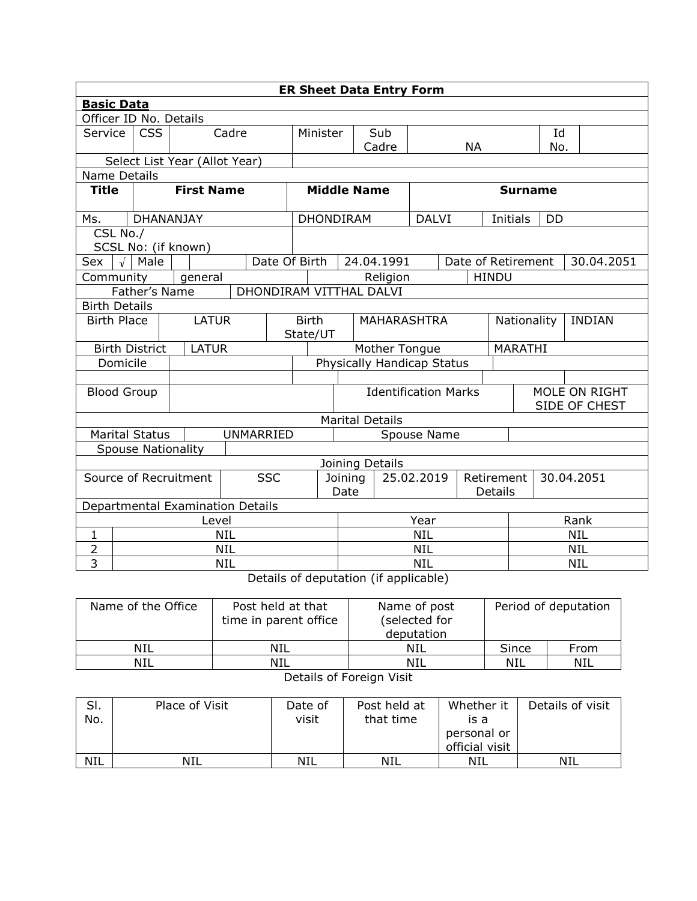| <b>ER Sheet Data Entry Form</b> |                                    |                                  |                         |  |                            |                        |                             |                                       |                    |                          |                |                                |                              |            |  |
|---------------------------------|------------------------------------|----------------------------------|-------------------------|--|----------------------------|------------------------|-----------------------------|---------------------------------------|--------------------|--------------------------|----------------|--------------------------------|------------------------------|------------|--|
| <b>Basic Data</b>               |                                    |                                  |                         |  |                            |                        |                             |                                       |                    |                          |                |                                |                              |            |  |
| Officer ID No. Details          |                                    |                                  |                         |  |                            |                        |                             |                                       |                    |                          |                |                                |                              |            |  |
| Service                         | Cadre<br><b>CSS</b>                |                                  |                         |  |                            | Minister               | Sub                         |                                       |                    |                          |                | Id                             |                              |            |  |
|                                 |                                    |                                  |                         |  |                            |                        |                             | Cadre                                 |                    |                          | <b>NA</b>      |                                | No.                          |            |  |
| Select List Year (Allot Year)   |                                    |                                  |                         |  |                            |                        |                             |                                       |                    |                          |                |                                |                              |            |  |
| Name Details                    |                                    |                                  |                         |  |                            |                        |                             |                                       |                    |                          |                |                                |                              |            |  |
| Title                           |                                    | <b>First Name</b>                |                         |  |                            | <b>Middle Name</b>     |                             |                                       |                    |                          | <b>Surname</b> |                                |                              |            |  |
| Ms.                             |                                    | <b>DHANANJAY</b>                 |                         |  |                            | <b>DHONDIRAM</b>       |                             |                                       | <b>DALVI</b>       |                          |                | Initials                       | <b>DD</b>                    |            |  |
| CSL No./                        |                                    |                                  |                         |  |                            |                        |                             |                                       |                    |                          |                |                                |                              |            |  |
|                                 |                                    | SCSL No: (if known)              |                         |  |                            |                        |                             |                                       |                    |                          |                |                                |                              |            |  |
| Sex                             | $\sqrt{\phantom{a}}$ Male          |                                  |                         |  | Date Of Birth              |                        |                             | 24.04.1991                            |                    |                          |                | Date of Retirement             |                              | 30.04.2051 |  |
| Community                       |                                    | general                          |                         |  |                            |                        |                             | Religion                              |                    |                          | <b>HINDU</b>   |                                |                              |            |  |
|                                 | Father's Name                      |                                  | DHONDIRAM VITTHAL DALVI |  |                            |                        |                             |                                       |                    |                          |                |                                |                              |            |  |
| <b>Birth Details</b>            |                                    |                                  |                         |  |                            |                        |                             |                                       |                    |                          |                |                                |                              |            |  |
|                                 | <b>LATUR</b><br><b>Birth Place</b> |                                  |                         |  | <b>Birth</b><br>State/UT   |                        |                             |                                       | <b>MAHARASHTRA</b> |                          |                |                                | Nationality<br><b>INDIAN</b> |            |  |
| <b>Birth District</b>           |                                    | <b>LATUR</b>                     |                         |  | Mother Tongue              |                        |                             |                                       |                    |                          | <b>MARATHI</b> |                                |                              |            |  |
| Domicile                        |                                    |                                  |                         |  | Physically Handicap Status |                        |                             |                                       |                    |                          |                |                                |                              |            |  |
|                                 |                                    |                                  |                         |  |                            |                        |                             |                                       |                    |                          |                |                                |                              |            |  |
| <b>Blood Group</b>              |                                    |                                  |                         |  |                            |                        | <b>Identification Marks</b> |                                       |                    |                          |                | MOLE ON RIGHT<br>SIDE OF CHEST |                              |            |  |
|                                 |                                    |                                  |                         |  |                            | <b>Marital Details</b> |                             |                                       |                    |                          |                |                                |                              |            |  |
| <b>Marital Status</b>           |                                    |                                  | UNMARRIED               |  |                            |                        | Spouse Name                 |                                       |                    |                          |                |                                |                              |            |  |
|                                 |                                    | <b>Spouse Nationality</b>        |                         |  |                            |                        |                             |                                       |                    |                          |                |                                |                              |            |  |
|                                 |                                    |                                  |                         |  |                            |                        |                             | Joining Details                       |                    |                          |                |                                |                              |            |  |
| Source of Recruitment           |                                    |                                  | <b>SSC</b>              |  | 25.02.2019<br>Joining      |                        |                             |                                       |                    | Retirement<br>30.04.2051 |                |                                |                              |            |  |
|                                 |                                    |                                  |                         |  | Date<br>Details            |                        |                             |                                       |                    |                          |                |                                |                              |            |  |
|                                 |                                    | Departmental Examination Details |                         |  |                            |                        |                             |                                       |                    |                          |                |                                |                              |            |  |
|                                 | Level                              |                                  |                         |  |                            |                        | Year                        |                                       |                    |                          |                |                                | Rank                         |            |  |
| 1                               |                                    |                                  | <b>NIL</b>              |  |                            |                        | <b>NIL</b>                  |                                       |                    |                          |                | <b>NIL</b>                     |                              |            |  |
| $\overline{2}$                  |                                    |                                  | <b>NIL</b>              |  |                            |                        | <b>NIL</b>                  |                                       |                    |                          |                | <b>NIL</b>                     |                              |            |  |
| 3                               |                                    |                                  | <b>NIL</b>              |  |                            |                        |                             | Dotails of doputation (if applicable) | <b>NIL</b>         |                          |                |                                |                              | <b>NIL</b> |  |

Details of deputation (if applicable)

| Name of the Office | Post held at that<br>time in parent office | Name of post<br>(selected for<br>deputation |       | Period of deputation |  |  |  |  |  |
|--------------------|--------------------------------------------|---------------------------------------------|-------|----------------------|--|--|--|--|--|
| NIL                | NIL                                        | NIL                                         | Since | From                 |  |  |  |  |  |
| NIL                | NIL                                        | NIL                                         | NIL   | NIL                  |  |  |  |  |  |
| - -<br>.           |                                            |                                             |       |                      |  |  |  |  |  |

## Details of Foreign Visit

| SI.<br>No. | Place of Visit | Date of<br>visit | Post held at<br>that time | Whether it<br>is a<br>personal or<br>official visit | Details of visit |
|------------|----------------|------------------|---------------------------|-----------------------------------------------------|------------------|
| <b>NIL</b> | NIL            | NIL              | NIL                       | NIL                                                 | NIL              |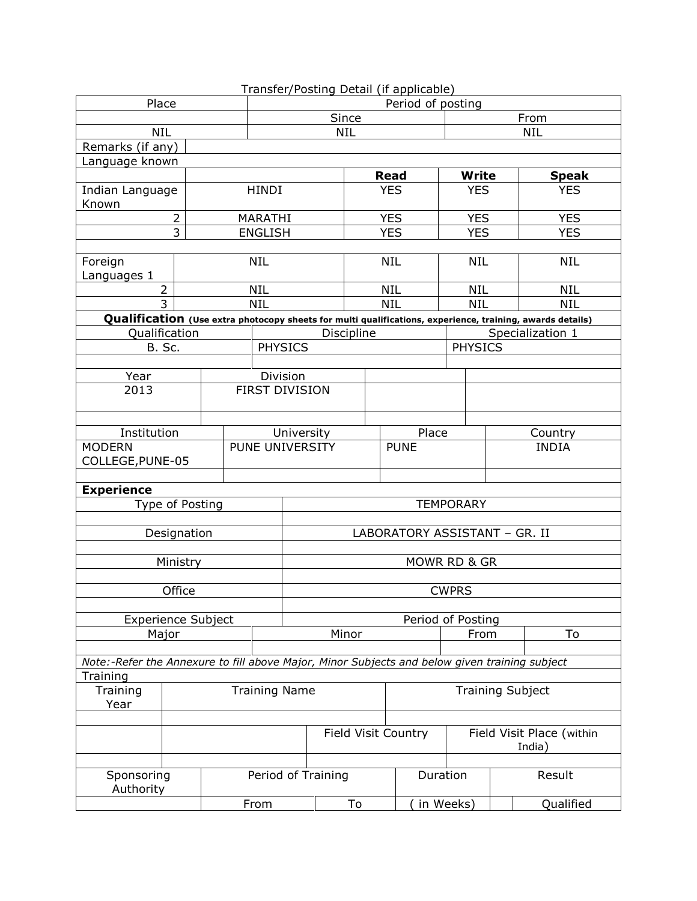|                                                                                               |                 | Transfer/Posting Detail (if applicable) |  |                               |                  |                    |    |                          |                     |                           |        |                                                                                                           |  |
|-----------------------------------------------------------------------------------------------|-----------------|-----------------------------------------|--|-------------------------------|------------------|--------------------|----|--------------------------|---------------------|---------------------------|--------|-----------------------------------------------------------------------------------------------------------|--|
| Place                                                                                         |                 | Period of posting                       |  |                               |                  |                    |    |                          |                     |                           |        |                                                                                                           |  |
|                                                                                               |                 |                                         |  | Since                         |                  |                    |    |                          |                     | From                      |        |                                                                                                           |  |
| <b>NIL</b>                                                                                    |                 | <b>NIL</b><br><b>NIL</b>                |  |                               |                  |                    |    |                          |                     |                           |        |                                                                                                           |  |
| Remarks (if any)                                                                              |                 |                                         |  |                               |                  |                    |    |                          |                     |                           |        |                                                                                                           |  |
| Language known                                                                                |                 |                                         |  |                               |                  |                    |    |                          |                     |                           |        |                                                                                                           |  |
|                                                                                               |                 |                                         |  |                               |                  |                    |    | <b>Read</b>              |                     | <b>Write</b>              |        | <b>Speak</b>                                                                                              |  |
| Indian Language                                                                               |                 |                                         |  | <b>HINDI</b>                  |                  |                    |    | <b>YES</b>               |                     | <b>YES</b>                |        | <b>YES</b>                                                                                                |  |
| Known                                                                                         |                 |                                         |  |                               |                  |                    |    |                          |                     |                           |        |                                                                                                           |  |
|                                                                                               | 2<br>3          |                                         |  | MARATHI                       |                  |                    |    | <b>YES</b><br><b>YES</b> |                     | <b>YES</b>                |        | <b>YES</b>                                                                                                |  |
|                                                                                               |                 |                                         |  | <b>ENGLISH</b>                |                  |                    |    |                          |                     | <b>YES</b>                |        | <b>YES</b>                                                                                                |  |
| Foreign                                                                                       |                 |                                         |  | <b>NIL</b>                    |                  |                    |    | <b>NIL</b>               |                     | <b>NIL</b>                |        | <b>NIL</b>                                                                                                |  |
| Languages 1                                                                                   |                 |                                         |  |                               |                  |                    |    |                          |                     |                           |        |                                                                                                           |  |
| $\overline{2}$                                                                                |                 |                                         |  | <b>NIL</b>                    |                  |                    |    | <b>NIL</b>               |                     | <b>NIL</b>                |        | <b>NIL</b>                                                                                                |  |
| $\overline{3}$                                                                                |                 |                                         |  | <b>NIL</b>                    |                  |                    |    | <b>NIL</b>               |                     | <b>NIL</b>                |        | <b>NIL</b>                                                                                                |  |
|                                                                                               |                 |                                         |  |                               |                  |                    |    |                          |                     |                           |        | Qualification (Use extra photocopy sheets for multi qualifications, experience, training, awards details) |  |
| Qualification                                                                                 |                 |                                         |  |                               |                  | Discipline         |    |                          |                     |                           |        | Specialization 1                                                                                          |  |
| B. Sc.                                                                                        |                 |                                         |  | <b>PHYSICS</b>                |                  |                    |    |                          |                     | <b>PHYSICS</b>            |        |                                                                                                           |  |
|                                                                                               |                 |                                         |  |                               |                  |                    |    |                          |                     |                           |        |                                                                                                           |  |
| Year                                                                                          |                 |                                         |  |                               | Division         |                    |    |                          |                     |                           |        |                                                                                                           |  |
| 2013                                                                                          |                 |                                         |  |                               | FIRST DIVISION   |                    |    |                          |                     |                           |        |                                                                                                           |  |
|                                                                                               |                 |                                         |  |                               |                  |                    |    |                          |                     |                           |        |                                                                                                           |  |
|                                                                                               |                 |                                         |  |                               |                  |                    |    |                          |                     |                           |        |                                                                                                           |  |
| Institution                                                                                   |                 |                                         |  |                               | University       |                    |    |                          | Place               |                           |        | Country                                                                                                   |  |
| <b>MODERN</b>                                                                                 |                 |                                         |  | PUNE UNIVERSITY               |                  |                    |    |                          | <b>PUNE</b>         |                           |        | <b>INDIA</b>                                                                                              |  |
| COLLEGE, PUNE-05                                                                              |                 |                                         |  |                               |                  |                    |    |                          |                     |                           |        |                                                                                                           |  |
|                                                                                               |                 |                                         |  |                               |                  |                    |    |                          |                     |                           |        |                                                                                                           |  |
| <b>Experience</b>                                                                             |                 |                                         |  |                               |                  |                    |    |                          |                     |                           |        |                                                                                                           |  |
|                                                                                               | Type of Posting |                                         |  |                               | <b>TEMPORARY</b> |                    |    |                          |                     |                           |        |                                                                                                           |  |
|                                                                                               |                 |                                         |  |                               |                  |                    |    |                          |                     |                           |        |                                                                                                           |  |
|                                                                                               | Designation     |                                         |  | LABORATORY ASSISTANT - GR. II |                  |                    |    |                          |                     |                           |        |                                                                                                           |  |
|                                                                                               |                 |                                         |  |                               |                  |                    |    |                          |                     |                           |        |                                                                                                           |  |
|                                                                                               | Ministry        |                                         |  | MOWR RD & GR                  |                  |                    |    |                          |                     |                           |        |                                                                                                           |  |
|                                                                                               |                 |                                         |  |                               |                  |                    |    |                          |                     |                           |        |                                                                                                           |  |
|                                                                                               | Office          |                                         |  | <b>CWPRS</b>                  |                  |                    |    |                          |                     |                           |        |                                                                                                           |  |
|                                                                                               |                 |                                         |  |                               |                  |                    |    |                          |                     |                           |        |                                                                                                           |  |
| <b>Experience Subject</b>                                                                     |                 |                                         |  |                               |                  |                    |    |                          |                     | Period of Posting         |        |                                                                                                           |  |
| Major                                                                                         |                 |                                         |  |                               |                  | Minor              |    |                          |                     | To<br>From                |        |                                                                                                           |  |
| Note:-Refer the Annexure to fill above Major, Minor Subjects and below given training subject |                 |                                         |  |                               |                  |                    |    |                          |                     |                           |        |                                                                                                           |  |
| Training                                                                                      |                 |                                         |  |                               |                  |                    |    |                          |                     |                           |        |                                                                                                           |  |
| Training                                                                                      |                 |                                         |  | <b>Training Name</b>          |                  |                    |    |                          |                     | <b>Training Subject</b>   |        |                                                                                                           |  |
| Year                                                                                          |                 |                                         |  |                               |                  |                    |    |                          |                     |                           |        |                                                                                                           |  |
|                                                                                               |                 |                                         |  |                               |                  |                    |    |                          |                     |                           |        |                                                                                                           |  |
|                                                                                               |                 |                                         |  |                               |                  |                    |    |                          | Field Visit Country | Field Visit Place (within |        |                                                                                                           |  |
|                                                                                               |                 |                                         |  |                               |                  |                    |    |                          |                     |                           | India) |                                                                                                           |  |
|                                                                                               |                 |                                         |  |                               |                  |                    |    |                          |                     |                           |        |                                                                                                           |  |
| Sponsoring                                                                                    |                 |                                         |  |                               |                  | Period of Training |    |                          | Duration            | Result                    |        |                                                                                                           |  |
| Authority                                                                                     |                 |                                         |  |                               |                  |                    |    |                          |                     |                           |        |                                                                                                           |  |
|                                                                                               |                 |                                         |  | From                          |                  |                    | To |                          |                     | in Weeks)                 |        | Qualified                                                                                                 |  |